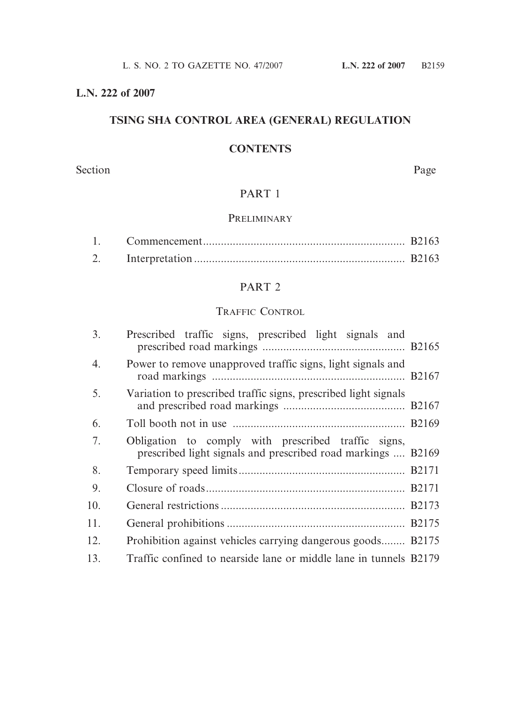# **L.N. 222 of 2007**

# **TSING SHA CONTROL AREA (GENERAL) REGULATION**

# **CONTENTS**

Section Page

# PART 1

# PRELIMINARY

# PART 2

# TRAFFIC CONTROL

| 3.  | Prescribed traffic signs, prescribed light signals and                                                              |  |
|-----|---------------------------------------------------------------------------------------------------------------------|--|
| 4.  | Power to remove unapproved traffic signs, light signals and                                                         |  |
| 5.  | Variation to prescribed traffic signs, prescribed light signals                                                     |  |
| 6.  |                                                                                                                     |  |
| 7.  | Obligation to comply with prescribed traffic signs,<br>prescribed light signals and prescribed road markings  B2169 |  |
| 8.  |                                                                                                                     |  |
| 9.  |                                                                                                                     |  |
| 10. |                                                                                                                     |  |
| 11. |                                                                                                                     |  |
| 12. | Prohibition against vehicles carrying dangerous goods B2175                                                         |  |
| 13. | Traffic confined to nearside lane or middle lane in tunnels B2179                                                   |  |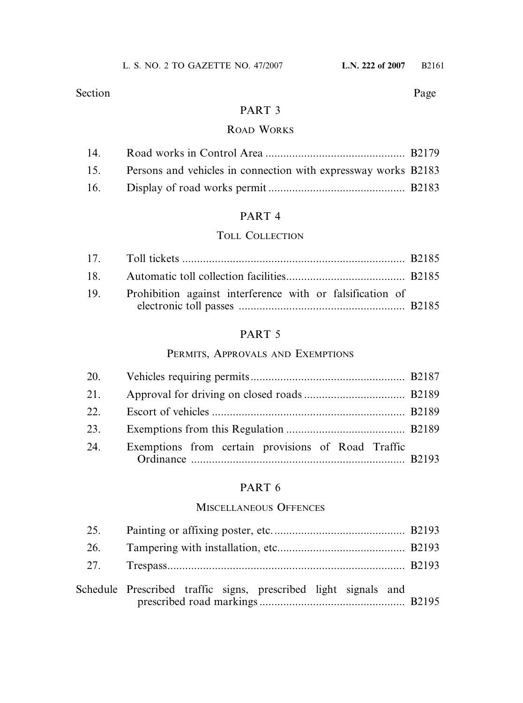# PART 3

### ROAD WORKS

| 15. Persons and vehicles in connection with expressway works B2183 |  |
|--------------------------------------------------------------------|--|
|                                                                    |  |

# PART 4

# TOLL COLLECTION

| 19. Prohibition against interference with or falsification of |  |
|---------------------------------------------------------------|--|
|                                                               |  |

# PART 5

# PERMITS, APPROVALS AND EXEMPTIONS

| 21. |                                                    |  |
|-----|----------------------------------------------------|--|
| 22. |                                                    |  |
| 23. |                                                    |  |
| 24. | Exemptions from certain provisions of Road Traffic |  |

# PART 6

# MISCELLANEOUS OFFENCES

| 25. |                                                                 |  |
|-----|-----------------------------------------------------------------|--|
| 26. |                                                                 |  |
|     |                                                                 |  |
|     | Schedule Prescribed traffic signs, prescribed light signals and |  |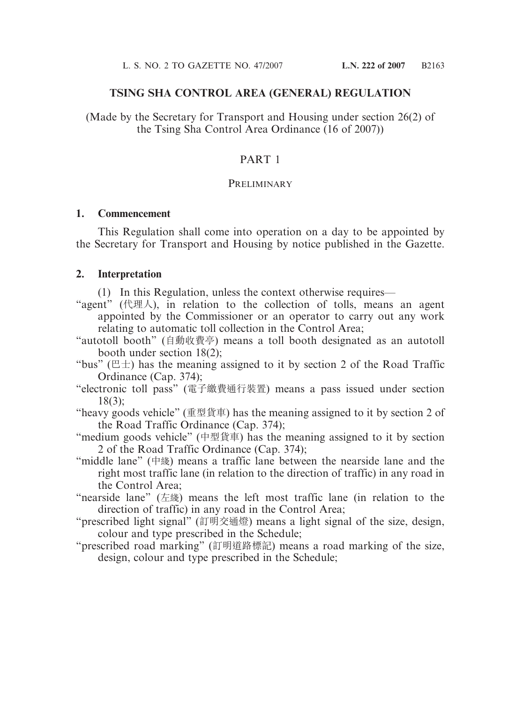#### **TSING SHA CONTROL AREA (GENERAL) REGULATION**

(Made by the Secretary for Transport and Housing under section 26(2) of the Tsing Sha Control Area Ordinance (16 of 2007))

#### PART 1

#### PRELIMINARY

#### **1. Commencement**

This Regulation shall come into operation on a day to be appointed by the Secretary for Transport and Housing by notice published in the Gazette.

#### **2. Interpretation**

(1) In this Regulation, unless the context otherwise requires—

- "agent" (代理人), in relation to the collection of tolls, means an agent appointed by the Commissioner or an operator to carry out any work relating to automatic toll collection in the Control Area;
- "autotoll booth" (自動收費亭) means a toll booth designated as an autotoll booth under section 18(2);
- "bus" ( $E \pm$ ) has the meaning assigned to it by section 2 of the Road Traffic Ordinance (Cap. 374);
- "electronic toll pass" (電子繳費通行裝置) means a pass issued under section 18(3);
- "heavy goods vehicle" (重型貨車) has the meaning assigned to it by section 2 of the Road Traffic Ordinance (Cap. 374);
- "medium goods vehicle" (中型貨車) has the meaning assigned to it by section 2 of the Road Traffic Ordinance (Cap. 374);
- "middle lane" (中綫) means a traffic lane between the nearside lane and the right most traffic lane (in relation to the direction of traffic) in any road in the Control Area;
- "nearside lane" (左㵟) means the left most traffic lane (in relation to the direction of traffic) in any road in the Control Area;
- "prescribed light signal" (訂明交通燈) means a light signal of the size, design, colour and type prescribed in the Schedule;
- "prescribed road marking" (訂明道路標記) means a road marking of the size, design, colour and type prescribed in the Schedule;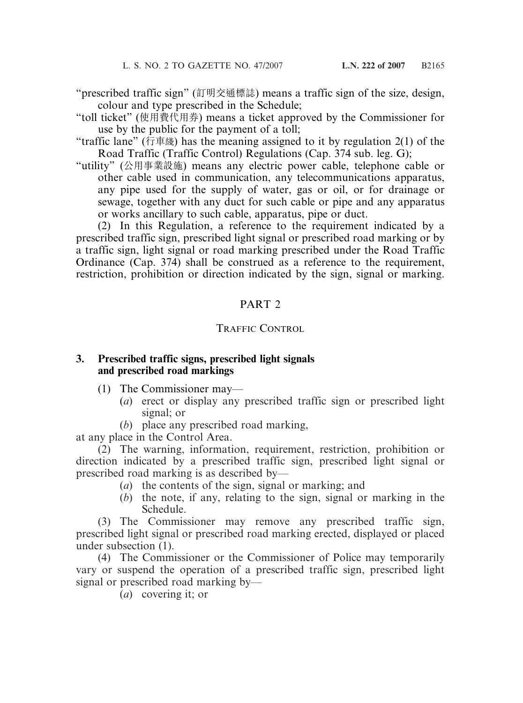"prescribed traffic sign" (訂明交通標誌) means a traffic sign of the size, design, colour and type prescribed in the Schedule;

"toll ticket" (使用費代用券) means a ticket approved by the Commissioner for use by the public for the payment of a toll;

"traffic lane" (行車綫) has the meaning assigned to it by regulation  $2(1)$  of the Road Traffic (Traffic Control) Regulations (Cap. 374 sub. leg. G);

"utility" (公用事業設施) means any electric power cable, telephone cable or other cable used in communication, any telecommunications apparatus, any pipe used for the supply of water, gas or oil, or for drainage or sewage, together with any duct for such cable or pipe and any apparatus or works ancillary to such cable, apparatus, pipe or duct.

(2) In this Regulation, a reference to the requirement indicated by a prescribed traffic sign, prescribed light signal or prescribed road marking or by a traffic sign, light signal or road marking prescribed under the Road Traffic Ordinance (Cap. 374) shall be construed as a reference to the requirement, restriction, prohibition or direction indicated by the sign, signal or marking.

# PART 2

### TRAFFIC CONTROL

### **3. Prescribed traffic signs, prescribed light signals and prescribed road markings**

- (1) The Commissioner may—
	- (*a*) erect or display any prescribed traffic sign or prescribed light signal; or
	- (*b*) place any prescribed road marking,

at any place in the Control Area.

(2) The warning, information, requirement, restriction, prohibition or direction indicated by a prescribed traffic sign, prescribed light signal or prescribed road marking is as described by—

- (*a*) the contents of the sign, signal or marking; and
- (*b*) the note, if any, relating to the sign, signal or marking in the Schedule.

(3) The Commissioner may remove any prescribed traffic sign, prescribed light signal or prescribed road marking erected, displayed or placed under subsection (1).

(4) The Commissioner or the Commissioner of Police may temporarily vary or suspend the operation of a prescribed traffic sign, prescribed light signal or prescribed road marking by—

(*a*) covering it; or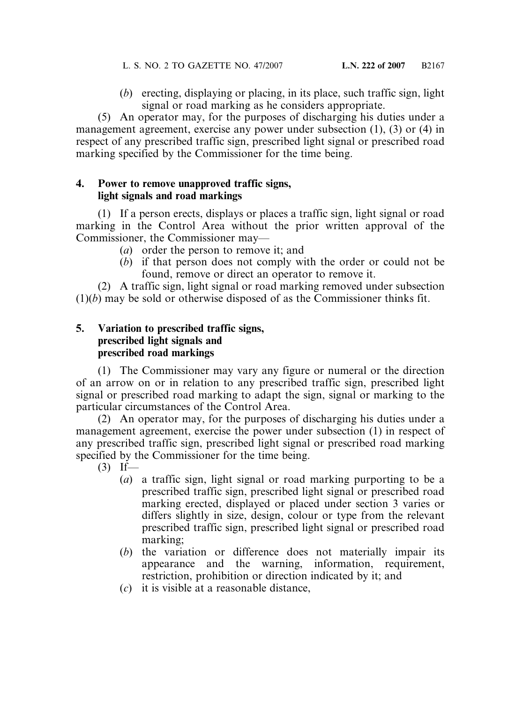(*b*) erecting, displaying or placing, in its place, such traffic sign, light signal or road marking as he considers appropriate.

(5) An operator may, for the purposes of discharging his duties under a management agreement, exercise any power under subsection (1), (3) or (4) in respect of any prescribed traffic sign, prescribed light signal or prescribed road marking specified by the Commissioner for the time being.

### **4. Power to remove unapproved traffic signs, light signals and road markings**

(1) If a person erects, displays or places a traffic sign, light signal or road marking in the Control Area without the prior written approval of the Commissioner, the Commissioner may—

- (*a*) order the person to remove it; and
- (*b*) if that person does not comply with the order or could not be found, remove or direct an operator to remove it.

(2) A traffic sign, light signal or road marking removed under subsection  $(1)(b)$  may be sold or otherwise disposed of as the Commissioner thinks fit.

### **5. Variation to prescribed traffic signs, prescribed light signals and prescribed road markings**

(1) The Commissioner may vary any figure or numeral or the direction of an arrow on or in relation to any prescribed traffic sign, prescribed light signal or prescribed road marking to adapt the sign, signal or marking to the particular circumstances of the Control Area.

(2) An operator may, for the purposes of discharging his duties under a management agreement, exercise the power under subsection (1) in respect of any prescribed traffic sign, prescribed light signal or prescribed road marking specified by the Commissioner for the time being.

- $(3)$  If—
	- (*a*) a traffic sign, light signal or road marking purporting to be a prescribed traffic sign, prescribed light signal or prescribed road marking erected, displayed or placed under section 3 varies or differs slightly in size, design, colour or type from the relevant prescribed traffic sign, prescribed light signal or prescribed road marking;
	- (*b*) the variation or difference does not materially impair its appearance and the warning, information, requirement, restriction, prohibition or direction indicated by it; and
	- (*c*) it is visible at a reasonable distance,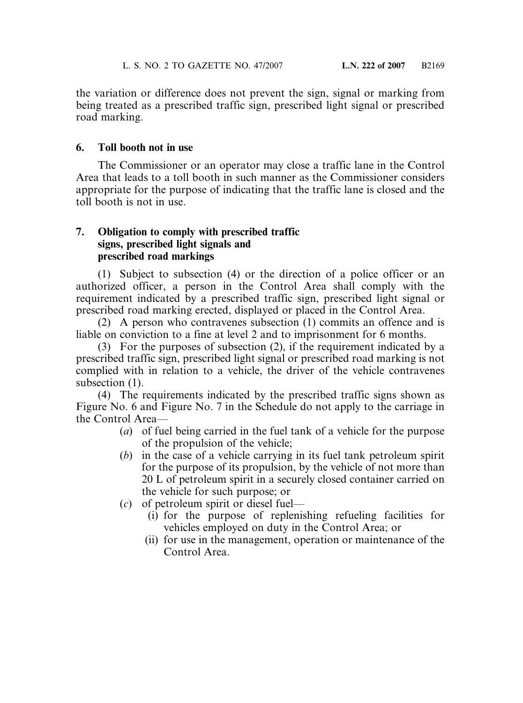the variation or difference does not prevent the sign, signal or marking from being treated as a prescribed traffic sign, prescribed light signal or prescribed road marking.

# **6. Toll booth not in use**

The Commissioner or an operator may close a traffic lane in the Control Area that leads to a toll booth in such manner as the Commissioner considers appropriate for the purpose of indicating that the traffic lane is closed and the toll booth is not in use.

## **7. Obligation to comply with prescribed traffic signs, prescribed light signals and prescribed road markings**

(1) Subject to subsection (4) or the direction of a police officer or an authorized officer, a person in the Control Area shall comply with the requirement indicated by a prescribed traffic sign, prescribed light signal or prescribed road marking erected, displayed or placed in the Control Area.

(2) A person who contravenes subsection (1) commits an offence and is liable on conviction to a fine at level 2 and to imprisonment for 6 months.

(3) For the purposes of subsection (2), if the requirement indicated by a prescribed traffic sign, prescribed light signal or prescribed road marking is not complied with in relation to a vehicle, the driver of the vehicle contravenes subsection  $(1)$ .

(4) The requirements indicated by the prescribed traffic signs shown as Figure No. 6 and Figure No. 7 in the Schedule do not apply to the carriage in the Control Area—

- (*a*) of fuel being carried in the fuel tank of a vehicle for the purpose of the propulsion of the vehicle;
- (*b*) in the case of a vehicle carrying in its fuel tank petroleum spirit for the purpose of its propulsion, by the vehicle of not more than 20 L of petroleum spirit in a securely closed container carried on the vehicle for such purpose; or
- (*c*) of petroleum spirit or diesel fuel—
	- (i) for the purpose of replenishing refueling facilities for vehicles employed on duty in the Control Area; or
	- (ii) for use in the management, operation or maintenance of the Control Area.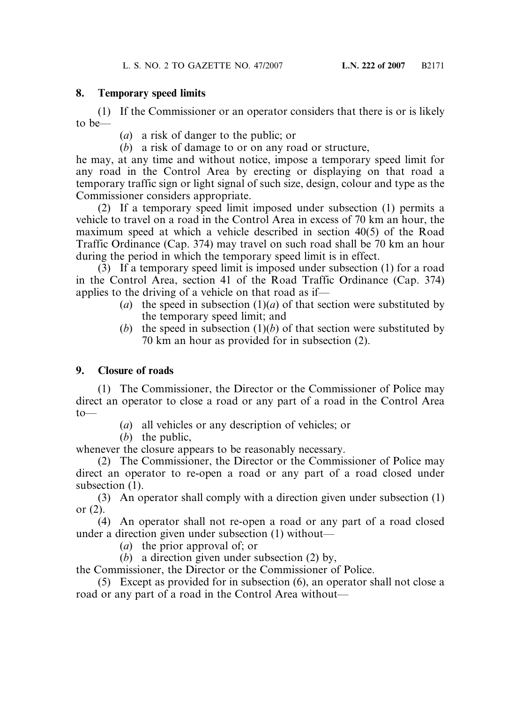### **8. Temporary speed limits**

(1) If the Commissioner or an operator considers that there is or is likely to be—

(*a*) a risk of danger to the public; or

(*b*) a risk of damage to or on any road or structure,

he may, at any time and without notice, impose a temporary speed limit for any road in the Control Area by erecting or displaying on that road a temporary traffic sign or light signal of such size, design, colour and type as the Commissioner considers appropriate.

(2) If a temporary speed limit imposed under subsection (1) permits a vehicle to travel on a road in the Control Area in excess of 70 km an hour, the maximum speed at which a vehicle described in section 40(5) of the Road Traffic Ordinance (Cap. 374) may travel on such road shall be 70 km an hour during the period in which the temporary speed limit is in effect.

(3) If a temporary speed limit is imposed under subsection (1) for a road in the Control Area, section 41 of the Road Traffic Ordinance (Cap. 374) applies to the driving of a vehicle on that road as if—

- (*a*) the speed in subsection  $(1)(a)$  of that section were substituted by the temporary speed limit; and
- (*b*) the speed in subsection  $(1)(b)$  of that section were substituted by 70 km an hour as provided for in subsection (2).

# **9. Closure of roads**

(1) The Commissioner, the Director or the Commissioner of Police may direct an operator to close a road or any part of a road in the Control Area  $to$ —

(*a*) all vehicles or any description of vehicles; or

(*b*) the public,

whenever the closure appears to be reasonably necessary.

(2) The Commissioner, the Director or the Commissioner of Police may direct an operator to re-open a road or any part of a road closed under subsection  $(1)$ .

(3) An operator shall comply with a direction given under subsection (1) or (2).

(4) An operator shall not re-open a road or any part of a road closed under a direction given under subsection (1) without—

- (*a*) the prior approval of; or
- (*b*) a direction given under subsection (2) by,

the Commissioner, the Director or the Commissioner of Police.

(5) Except as provided for in subsection (6), an operator shall not close a road or any part of a road in the Control Area without—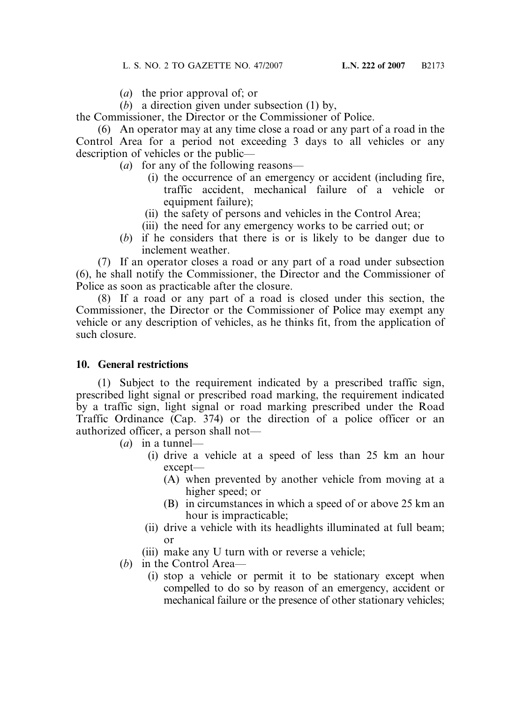- (*a*) the prior approval of; or
- (*b*) a direction given under subsection (1) by,

the Commissioner, the Director or the Commissioner of Police.

(6) An operator may at any time close a road or any part of a road in the Control Area for a period not exceeding 3 days to all vehicles or any description of vehicles or the public—

- (*a*) for any of the following reasons—
	- (i) the occurrence of an emergency or accident (including fire, traffic accident, mechanical failure of a vehicle or equipment failure);
	- (ii) the safety of persons and vehicles in the Control Area;
	- (iii) the need for any emergency works to be carried out; or
- (*b*) if he considers that there is or is likely to be danger due to inclement weather.

(7) If an operator closes a road or any part of a road under subsection (6), he shall notify the Commissioner, the Director and the Commissioner of Police as soon as practicable after the closure.

(8) If a road or any part of a road is closed under this section, the Commissioner, the Director or the Commissioner of Police may exempt any vehicle or any description of vehicles, as he thinks fit, from the application of such closure.

### **10. General restrictions**

(1) Subject to the requirement indicated by a prescribed traffic sign, prescribed light signal or prescribed road marking, the requirement indicated by a traffic sign, light signal or road marking prescribed under the Road Traffic Ordinance (Cap. 374) or the direction of a police officer or an authorized officer, a person shall not—

- (*a*) in a tunnel—
	- (i) drive a vehicle at a speed of less than 25 km an hour except—
		- (A) when prevented by another vehicle from moving at a higher speed; or
		- (B) in circumstances in which a speed of or above 25 km an hour is impracticable;
	- (ii) drive a vehicle with its headlights illuminated at full beam; or
	- (iii) make any U turn with or reverse a vehicle;
- (*b*) in the Control Area—
	- (i) stop a vehicle or permit it to be stationary except when compelled to do so by reason of an emergency, accident or mechanical failure or the presence of other stationary vehicles;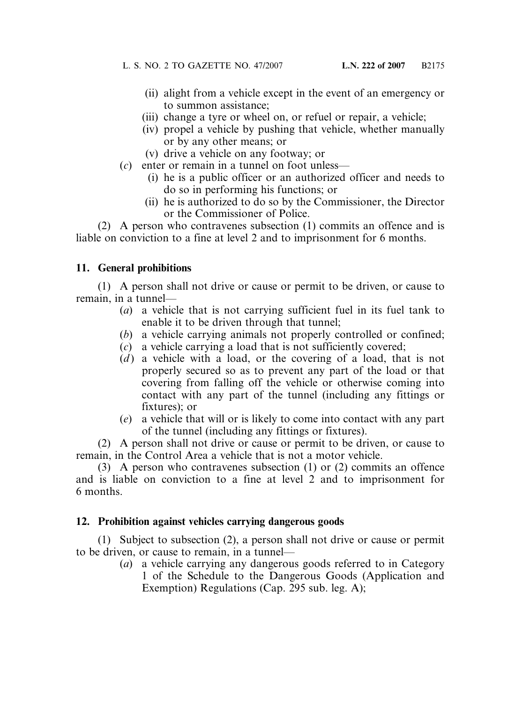- (ii) alight from a vehicle except in the event of an emergency or to summon assistance;
- (iii) change a tyre or wheel on, or refuel or repair, a vehicle;
- (iv) propel a vehicle by pushing that vehicle, whether manually or by any other means; or
- (v) drive a vehicle on any footway; or
- (*c*) enter or remain in a tunnel on foot unless—
	- (i) he is a public officer or an authorized officer and needs to do so in performing his functions; or
	- (ii) he is authorized to do so by the Commissioner, the Director or the Commissioner of Police.

(2) A person who contravenes subsection (1) commits an offence and is liable on conviction to a fine at level 2 and to imprisonment for 6 months.

# **11. General prohibitions**

(1) A person shall not drive or cause or permit to be driven, or cause to remain, in a tunnel—

- (*a*) a vehicle that is not carrying sufficient fuel in its fuel tank to enable it to be driven through that tunnel;
- (*b*) a vehicle carrying animals not properly controlled or confined;
- (*c*) a vehicle carrying a load that is not sufficiently covered;
- $(d)$  a vehicle with a load, or the covering of a load, that is not properly secured so as to prevent any part of the load or that covering from falling off the vehicle or otherwise coming into contact with any part of the tunnel (including any fittings or fixtures); or
- (*e*) a vehicle that will or is likely to come into contact with any part of the tunnel (including any fittings or fixtures).

(2) A person shall not drive or cause or permit to be driven, or cause to remain, in the Control Area a vehicle that is not a motor vehicle.

(3) A person who contravenes subsection (1) or (2) commits an offence and is liable on conviction to a fine at level 2 and to imprisonment for 6 months.

### **12. Prohibition against vehicles carrying dangerous goods**

(1) Subject to subsection (2), a person shall not drive or cause or permit to be driven, or cause to remain, in a tunnel—

> (*a*) a vehicle carrying any dangerous goods referred to in Category 1 of the Schedule to the Dangerous Goods (Application and Exemption) Regulations (Cap. 295 sub. leg. A);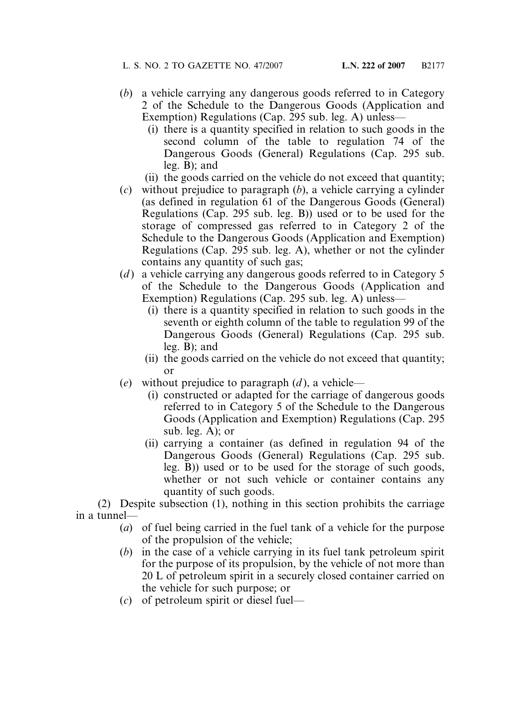- (*b*) a vehicle carrying any dangerous goods referred to in Category 2 of the Schedule to the Dangerous Goods (Application and Exemption) Regulations (Cap. 295 sub. leg. A) unless—
	- (i) there is a quantity specified in relation to such goods in the second column of the table to regulation 74 of the Dangerous Goods (General) Regulations (Cap. 295 sub. leg. B); and
	- (ii) the goods carried on the vehicle do not exceed that quantity;
- (*c*) without prejudice to paragraph (*b*), a vehicle carrying a cylinder (as defined in regulation 61 of the Dangerous Goods (General) Regulations (Cap. 295 sub. leg. B)) used or to be used for the storage of compressed gas referred to in Category 2 of the Schedule to the Dangerous Goods (Application and Exemption) Regulations (Cap. 295 sub. leg. A), whether or not the cylinder contains any quantity of such gas;
- (*d*) a vehicle carrying any dangerous goods referred to in Category 5 of the Schedule to the Dangerous Goods (Application and Exemption) Regulations (Cap. 295 sub. leg. A) unless—
	- (i) there is a quantity specified in relation to such goods in the seventh or eighth column of the table to regulation 99 of the Dangerous Goods (General) Regulations (Cap. 295 sub. leg. B); and
	- (ii) the goods carried on the vehicle do not exceed that quantity; or
- (*e*) without prejudice to paragraph (*d* ), a vehicle—
	- (i) constructed or adapted for the carriage of dangerous goods referred to in Category 5 of the Schedule to the Dangerous Goods (Application and Exemption) Regulations (Cap. 295 sub. leg. A); or
	- (ii) carrying a container (as defined in regulation 94 of the Dangerous Goods (General) Regulations (Cap. 295 sub. leg. B)) used or to be used for the storage of such goods, whether or not such vehicle or container contains any quantity of such goods.

(2) Despite subsection (1), nothing in this section prohibits the carriage in a tunnel—

- (*a*) of fuel being carried in the fuel tank of a vehicle for the purpose of the propulsion of the vehicle;
- (*b*) in the case of a vehicle carrying in its fuel tank petroleum spirit for the purpose of its propulsion, by the vehicle of not more than 20 L of petroleum spirit in a securely closed container carried on the vehicle for such purpose; or
- (*c*) of petroleum spirit or diesel fuel—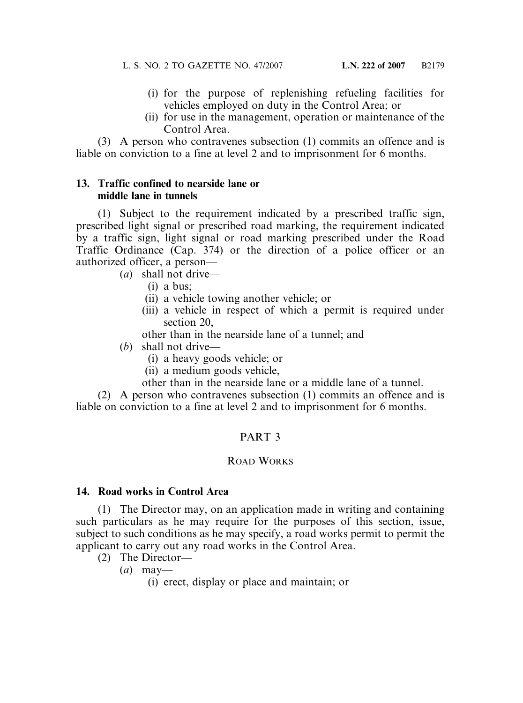- (i) for the purpose of replenishing refueling facilities for vehicles employed on duty in the Control Area; or
- (ii) for use in the management, operation or maintenance of the Control Area.

(3) A person who contravenes subsection (1) commits an offence and is liable on conviction to a fine at level 2 and to imprisonment for 6 months.

### **13. Traffic confined to nearside lane or middle lane in tunnels**

(1) Subject to the requirement indicated by a prescribed traffic sign, prescribed light signal or prescribed road marking, the requirement indicated by a traffic sign, light signal or road marking prescribed under the Road Traffic Ordinance (Cap. 374) or the direction of a police officer or an authorized officer, a person—

(*a*) shall not drive—

- (i) a bus;
- (ii) a vehicle towing another vehicle; or
- (iii) a vehicle in respect of which a permit is required under section 20,

other than in the nearside lane of a tunnel; and

- (*b*) shall not drive—
	- (i) a heavy goods vehicle; or
	- (ii) a medium goods vehicle,
	- other than in the nearside lane or a middle lane of a tunnel.

(2) A person who contravenes subsection (1) commits an offence and is liable on conviction to a fine at level 2 and to imprisonment for 6 months.

# PART 3

### ROAD WORKS

### **14. Road works in Control Area**

(1) The Director may, on an application made in writing and containing such particulars as he may require for the purposes of this section, issue, subject to such conditions as he may specify, a road works permit to permit the applicant to carry out any road works in the Control Area.

- (2) The Director—
	- (*a*) may—

(i) erect, display or place and maintain; or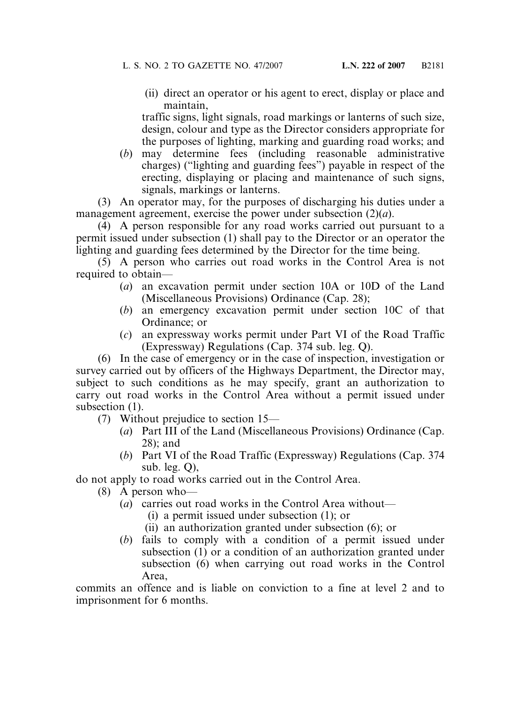(ii) direct an operator or his agent to erect, display or place and maintain,

traffic signs, light signals, road markings or lanterns of such size, design, colour and type as the Director considers appropriate for the purposes of lighting, marking and guarding road works; and

(*b*) may determine fees (including reasonable administrative charges) ("lighting and guarding fees") payable in respect of the erecting, displaying or placing and maintenance of such signs, signals, markings or lanterns.

(3) An operator may, for the purposes of discharging his duties under a management agreement, exercise the power under subsection (2)(*a*).

(4) A person responsible for any road works carried out pursuant to a permit issued under subsection (1) shall pay to the Director or an operator the lighting and guarding fees determined by the Director for the time being.

(5) A person who carries out road works in the Control Area is not required to obtain—

- (*a*) an excavation permit under section 10A or 10D of the Land (Miscellaneous Provisions) Ordinance (Cap. 28);
- (*b*) an emergency excavation permit under section 10C of that Ordinance; or
- (*c*) an expressway works permit under Part VI of the Road Traffic (Expressway) Regulations (Cap. 374 sub. leg. Q).

(6) In the case of emergency or in the case of inspection, investigation or survey carried out by officers of the Highways Department, the Director may, subject to such conditions as he may specify, grant an authorization to carry out road works in the Control Area without a permit issued under subsection  $(1)$ .

(7) Without prejudice to section 15—

- (*a*) Part III of the Land (Miscellaneous Provisions) Ordinance (Cap. 28); and
- (*b*) Part VI of the Road Traffic (Expressway) Regulations (Cap. 374 sub. leg. Q),

do not apply to road works carried out in the Control Area.

- (8) A person who—
	- (*a*) carries out road works in the Control Area without—
		- (i) a permit issued under subsection (1); or
		- (ii) an authorization granted under subsection (6); or
	- (*b*) fails to comply with a condition of a permit issued under subsection (1) or a condition of an authorization granted under subsection (6) when carrying out road works in the Control Area,

commits an offence and is liable on conviction to a fine at level 2 and to imprisonment for 6 months.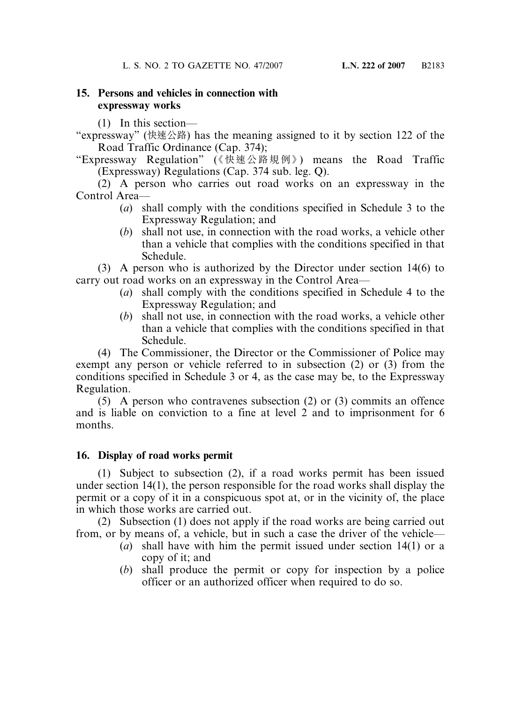# **15. Persons and vehicles in connection with expressway works**

(1) In this section—

"expressway" (快速公路) has the meaning assigned to it by section 122 of the Road Traffic Ordinance (Cap. 374);

"Expressway Regulation" (《快速公路規例》) means the Road Traffic (Expressway) Regulations (Cap. 374 sub. leg. Q).

(2) A person who carries out road works on an expressway in the Control Area—

- (*a*) shall comply with the conditions specified in Schedule 3 to the Expressway Regulation; and
- (*b*) shall not use, in connection with the road works, a vehicle other than a vehicle that complies with the conditions specified in that Schedule.

(3) A person who is authorized by the Director under section 14(6) to carry out road works on an expressway in the Control Area—

- (*a*) shall comply with the conditions specified in Schedule 4 to the Expressway Regulation; and
- (*b*) shall not use, in connection with the road works, a vehicle other than a vehicle that complies with the conditions specified in that Schedule.

(4) The Commissioner, the Director or the Commissioner of Police may exempt any person or vehicle referred to in subsection (2) or (3) from the conditions specified in Schedule 3 or 4, as the case may be, to the Expressway Regulation.

(5) A person who contravenes subsection (2) or (3) commits an offence and is liable on conviction to a fine at level 2 and to imprisonment for 6 months.

# **16. Display of road works permit**

(1) Subject to subsection (2), if a road works permit has been issued under section 14(1), the person responsible for the road works shall display the permit or a copy of it in a conspicuous spot at, or in the vicinity of, the place in which those works are carried out.

(2) Subsection (1) does not apply if the road works are being carried out from, or by means of, a vehicle, but in such a case the driver of the vehicle—

- (*a*) shall have with him the permit issued under section 14(1) or a copy of it; and
- (*b*) shall produce the permit or copy for inspection by a police officer or an authorized officer when required to do so.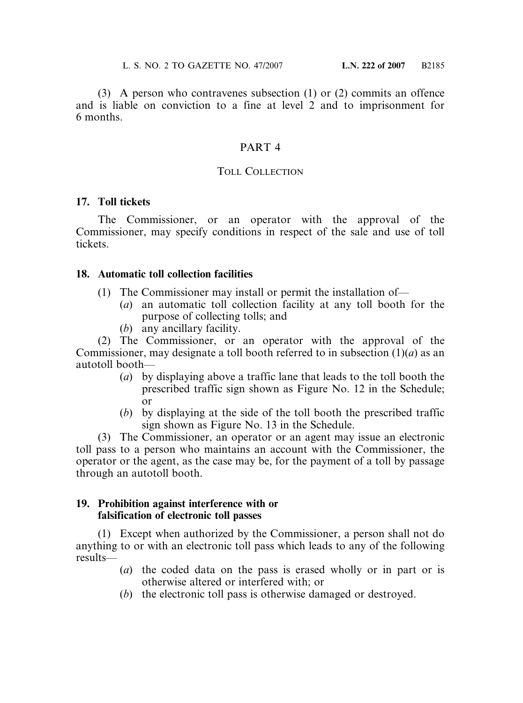(3) A person who contravenes subsection (1) or (2) commits an offence and is liable on conviction to a fine at level 2 and to imprisonment for 6 months.

### PART 4

#### TOLL COLLECTION

#### **17. Toll tickets**

The Commissioner, or an operator with the approval of the Commissioner, may specify conditions in respect of the sale and use of toll tickets.

### **18. Automatic toll collection facilities**

- (1) The Commissioner may install or permit the installation of—
	- (*a*) an automatic toll collection facility at any toll booth for the purpose of collecting tolls; and
	- (*b*) any ancillary facility.

(2) The Commissioner, or an operator with the approval of the Commissioner, may designate a toll booth referred to in subsection (1)(*a*) as an autotoll booth—

- (*a*) by displaying above a traffic lane that leads to the toll booth the prescribed traffic sign shown as Figure No. 12 in the Schedule; or
- (*b*) by displaying at the side of the toll booth the prescribed traffic sign shown as Figure No. 13 in the Schedule.

(3) The Commissioner, an operator or an agent may issue an electronic toll pass to a person who maintains an account with the Commissioner, the operator or the agent, as the case may be, for the payment of a toll by passage through an autotoll booth.

#### **19. Prohibition against interference with or falsification of electronic toll passes**

(1) Except when authorized by the Commissioner, a person shall not do anything to or with an electronic toll pass which leads to any of the following results—

- (*a*) the coded data on the pass is erased wholly or in part or is otherwise altered or interfered with; or
- (*b*) the electronic toll pass is otherwise damaged or destroyed.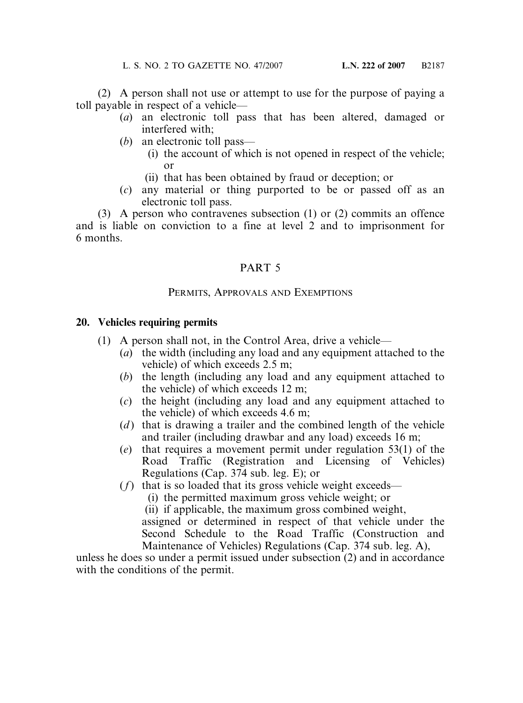(2) A person shall not use or attempt to use for the purpose of paying a toll payable in respect of a vehicle—

- (*a*) an electronic toll pass that has been altered, damaged or interfered with;
- (*b*) an electronic toll pass—
	- (i) the account of which is not opened in respect of the vehicle; or
	- (ii) that has been obtained by fraud or deception; or
- (*c*) any material or thing purported to be or passed off as an electronic toll pass.

(3) A person who contravenes subsection (1) or (2) commits an offence and is liable on conviction to a fine at level 2 and to imprisonment for 6 months.

### PART 5

### PERMITS, APPROVALS AND EXEMPTIONS

### **20. Vehicles requiring permits**

- (1) A person shall not, in the Control Area, drive a vehicle—
	- (*a*) the width (including any load and any equipment attached to the vehicle) of which exceeds 2.5 m;
	- (*b*) the length (including any load and any equipment attached to the vehicle) of which exceeds 12 m;
	- (*c*) the height (including any load and any equipment attached to the vehicle) of which exceeds 4.6 m;
	- (*d*) that is drawing a trailer and the combined length of the vehicle and trailer (including drawbar and any load) exceeds 16 m;
	- (*e*) that requires a movement permit under regulation 53(1) of the Road Traffic (Registration and Licensing of Vehicles) Regulations (Cap. 374 sub. leg. E); or
	- (*f*) that is so loaded that its gross vehicle weight exceeds—
		- (i) the permitted maximum gross vehicle weight; or

(ii) if applicable, the maximum gross combined weight,

assigned or determined in respect of that vehicle under the Second Schedule to the Road Traffic (Construction and Maintenance of Vehicles) Regulations (Cap. 374 sub. leg. A),

unless he does so under a permit issued under subsection (2) and in accordance with the conditions of the permit.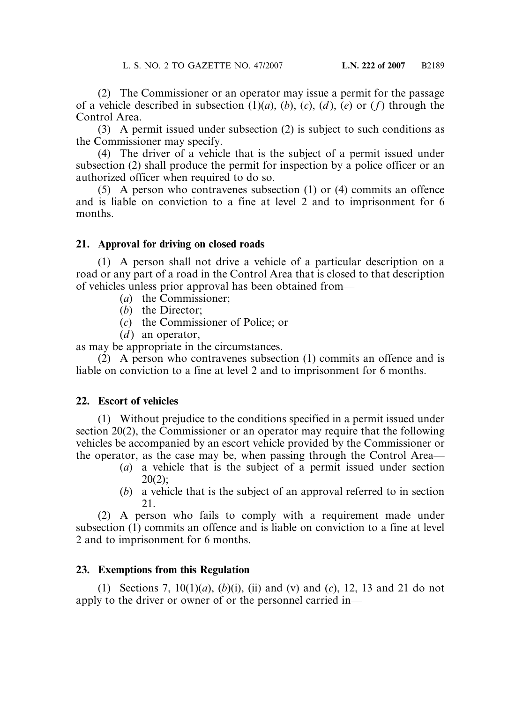(2) The Commissioner or an operator may issue a permit for the passage of a vehicle described in subsection  $(1)(a)$ ,  $(b)$ ,  $(c)$ ,  $(d)$ ,  $(e)$  or  $(f)$  through the Control Area.

(3) A permit issued under subsection (2) is subject to such conditions as the Commissioner may specify.

(4) The driver of a vehicle that is the subject of a permit issued under subsection (2) shall produce the permit for inspection by a police officer or an authorized officer when required to do so.

(5) A person who contravenes subsection (1) or (4) commits an offence and is liable on conviction to a fine at level 2 and to imprisonment for 6 months.

### **21. Approval for driving on closed roads**

(1) A person shall not drive a vehicle of a particular description on a road or any part of a road in the Control Area that is closed to that description of vehicles unless prior approval has been obtained from—

- (*a*) the Commissioner;
- (*b*) the Director;
- (*c*) the Commissioner of Police; or
- $(d)$  an operator,

as may be appropriate in the circumstances.

(2) A person who contravenes subsection (1) commits an offence and is liable on conviction to a fine at level 2 and to imprisonment for 6 months.

# **22. Escort of vehicles**

(1) Without prejudice to the conditions specified in a permit issued under section 20(2), the Commissioner or an operator may require that the following vehicles be accompanied by an escort vehicle provided by the Commissioner or the operator, as the case may be, when passing through the Control Area—

- (*a*) a vehicle that is the subject of a permit issued under section  $20(2);$
- (*b*) a vehicle that is the subject of an approval referred to in section 21.

(2) A person who fails to comply with a requirement made under subsection (1) commits an offence and is liable on conviction to a fine at level 2 and to imprisonment for 6 months.

# **23. Exemptions from this Regulation**

(1) Sections 7, 10(1)(*a*), (*b*)(i), (ii) and (v) and (*c*), 12, 13 and 21 do not apply to the driver or owner of or the personnel carried in—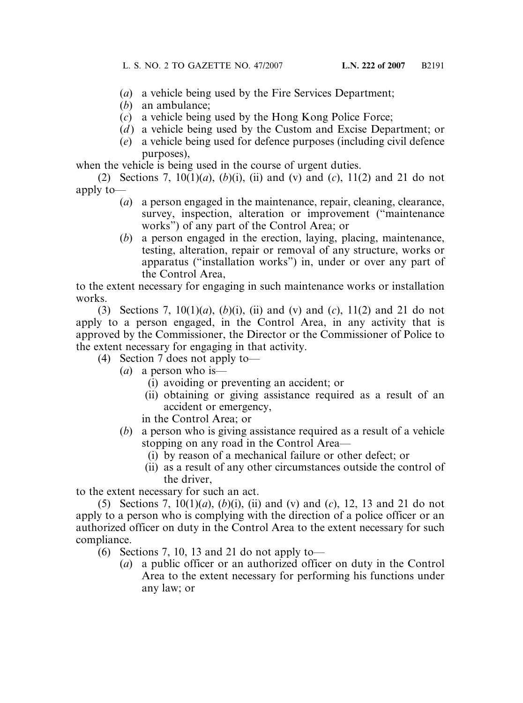- (*a*) a vehicle being used by the Fire Services Department;
- (*b*) an ambulance;
- (*c*) a vehicle being used by the Hong Kong Police Force;
- (*d* ) a vehicle being used by the Custom and Excise Department; or
- (*e*) a vehicle being used for defence purposes (including civil defence purposes),

when the vehicle is being used in the course of urgent duties.

(2) Sections 7, 10(1)(*a*), (*b*)(i), (ii) and (v) and (*c*), 11(2) and 21 do not apply to—

- (*a*) a person engaged in the maintenance, repair, cleaning, clearance, survey, inspection, alteration or improvement ("maintenance works") of any part of the Control Area; or
- (*b*) a person engaged in the erection, laying, placing, maintenance, testing, alteration, repair or removal of any structure, works or apparatus ("installation works") in, under or over any part of the Control Area,

to the extent necessary for engaging in such maintenance works or installation works.

(3) Sections 7, 10(1)(*a*), (*b*)(i), (ii) and (v) and (*c*), 11(2) and 21 do not apply to a person engaged, in the Control Area, in any activity that is approved by the Commissioner, the Director or the Commissioner of Police to the extent necessary for engaging in that activity.

- (4) Section 7 does not apply to—
	- (*a*) a person who is—
		- (i) avoiding or preventing an accident; or
		- (ii) obtaining or giving assistance required as a result of an accident or emergency,
		- in the Control Area; or
	- (*b*) a person who is giving assistance required as a result of a vehicle stopping on any road in the Control Area—
		- (i) by reason of a mechanical failure or other defect; or
		- (ii) as a result of any other circumstances outside the control of the driver,

to the extent necessary for such an act.

(5) Sections 7, 10(1)(*a*), (*b*)(i), (ii) and (v) and (*c*), 12, 13 and 21 do not apply to a person who is complying with the direction of a police officer or an authorized officer on duty in the Control Area to the extent necessary for such compliance.

- (6) Sections 7, 10, 13 and 21 do not apply to—
	- (*a*) a public officer or an authorized officer on duty in the Control Area to the extent necessary for performing his functions under any law; or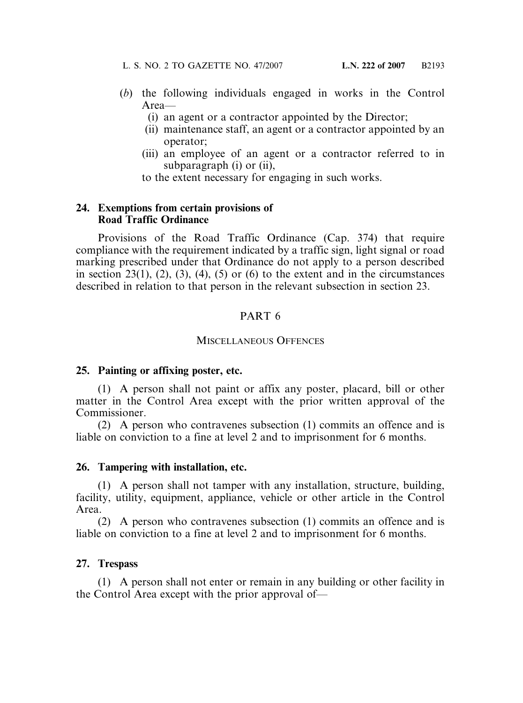- (*b*) the following individuals engaged in works in the Control Area—
	- (i) an agent or a contractor appointed by the Director;
	- (ii) maintenance staff, an agent or a contractor appointed by an operator;
	- (iii) an employee of an agent or a contractor referred to in subparagraph (i) or (ii),
	- to the extent necessary for engaging in such works.

#### **24. Exemptions from certain provisions of Road Traffic Ordinance**

Provisions of the Road Traffic Ordinance (Cap. 374) that require compliance with the requirement indicated by a traffic sign, light signal or road marking prescribed under that Ordinance do not apply to a person described in section 23(1), (2), (3), (4), (5) or (6) to the extent and in the circumstances described in relation to that person in the relevant subsection in section 23.

### PART 6

#### MISCELLANEOUS OFFENCES

#### **25. Painting or affixing poster, etc.**

(1) A person shall not paint or affix any poster, placard, bill or other matter in the Control Area except with the prior written approval of the Commissioner.

(2) A person who contravenes subsection (1) commits an offence and is liable on conviction to a fine at level 2 and to imprisonment for 6 months.

#### **26. Tampering with installation, etc.**

(1) A person shall not tamper with any installation, structure, building, facility, utility, equipment, appliance, vehicle or other article in the Control Area.

(2) A person who contravenes subsection (1) commits an offence and is liable on conviction to a fine at level 2 and to imprisonment for 6 months.

#### **27. Trespass**

(1) A person shall not enter or remain in any building or other facility in the Control Area except with the prior approval of—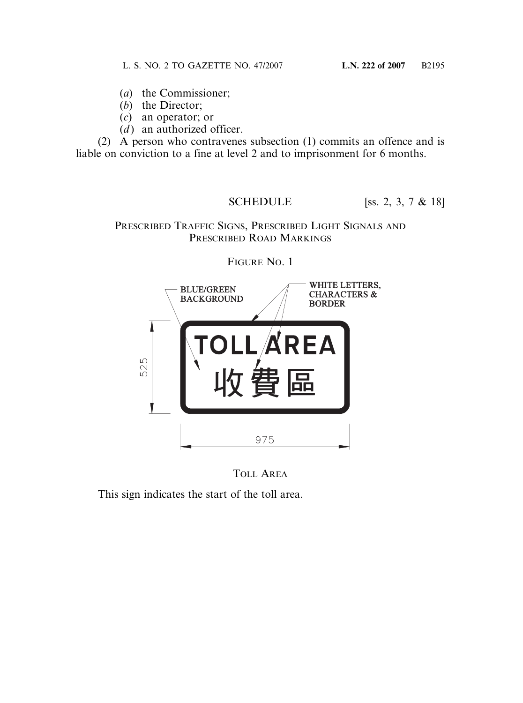- (*a*) the Commissioner;
- (*b*) the Director;
- (*c*) an operator; or
- $(d)$  an authorized officer.

(2) A person who contravenes subsection (1) commits an offence and is liable on conviction to a fine at level 2 and to imprisonment for 6 months.

SCHEDULE [SS. 2, 3, 7 & 18]

## PRESCRIBED TRAFFIC SIGNS, PRESCRIBED LIGHT SIGNALS AND PRESCRIBED ROAD MARKINGS



FIGURE NO. 1

TOLL AREA

This sign indicates the start of the toll area.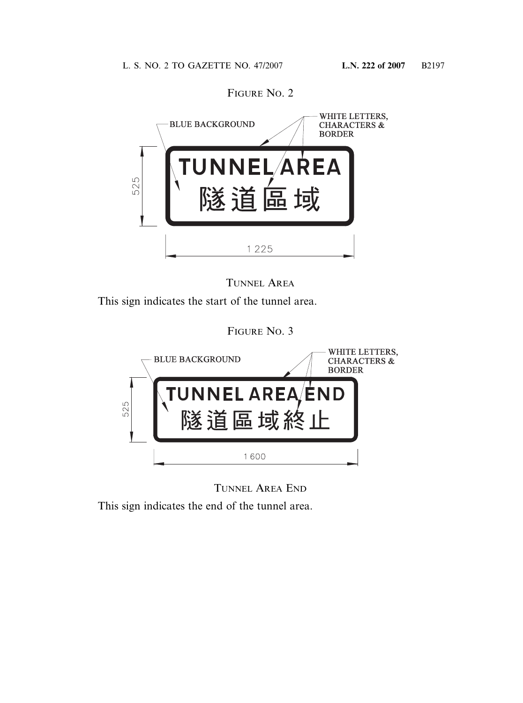

FIGURE NO. 2



This sign indicates the start of the tunnel area.

FIGURE NO. 3



TUNNEL AREA END

This sign indicates the end of the tunnel area.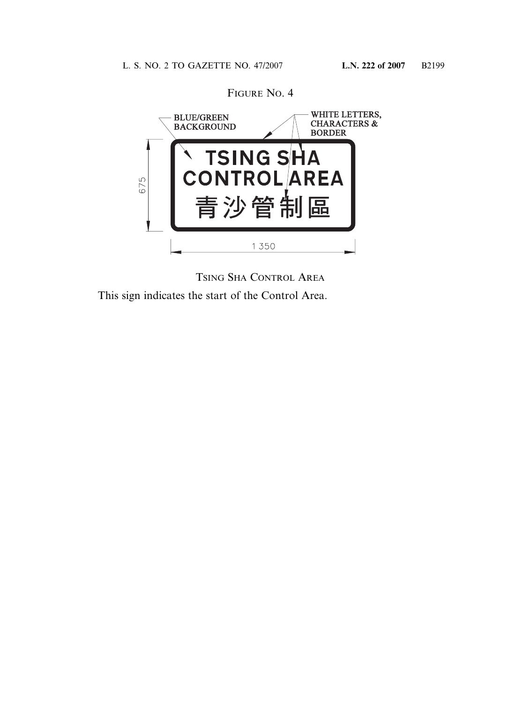

TSING SHA CONTROL AREA This sign indicates the start of the Control Area.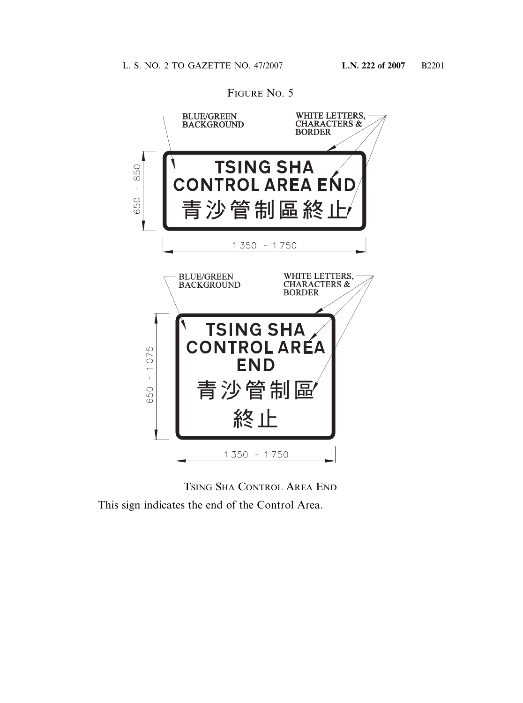

FIGURE NO. 5

TSING SHA CONTROL AREA END This sign indicates the end of the Control Area.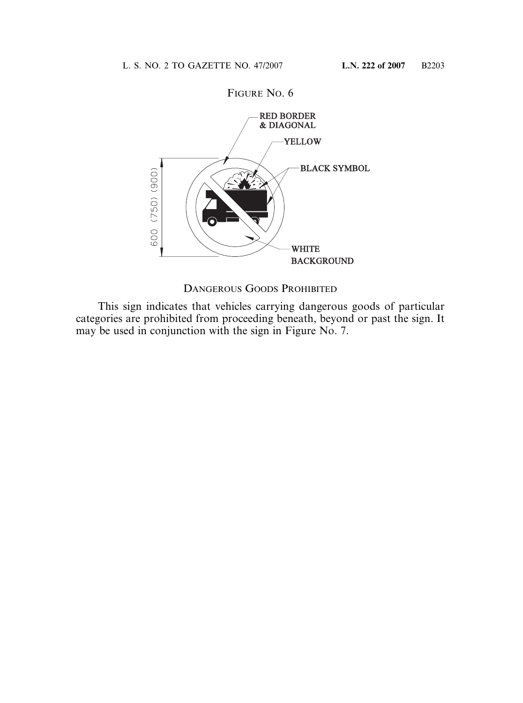

DANGEROUS GOODS PROHIBITED

This sign indicates that vehicles carrying dangerous goods of particular categories are prohibited from proceeding beneath, beyond or past the sign. It may be used in conjunction with the sign in Figure No. 7.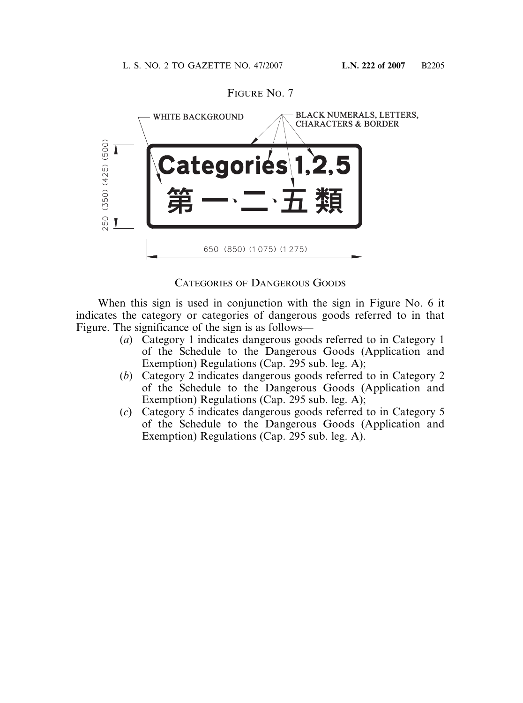

FIGURE NO. 7

CATEGORIES OF DANGEROUS GOODS

When this sign is used in conjunction with the sign in Figure No. 6 it indicates the category or categories of dangerous goods referred to in that Figure. The significance of the sign is as follows—

- (*a*) Category 1 indicates dangerous goods referred to in Category 1 of the Schedule to the Dangerous Goods (Application and Exemption) Regulations (Cap. 295 sub. leg. A);
- (*b*) Category 2 indicates dangerous goods referred to in Category 2 of the Schedule to the Dangerous Goods (Application and Exemption) Regulations (Cap. 295 sub. leg. A);
- (*c*) Category 5 indicates dangerous goods referred to in Category 5 of the Schedule to the Dangerous Goods (Application and Exemption) Regulations (Cap. 295 sub. leg. A).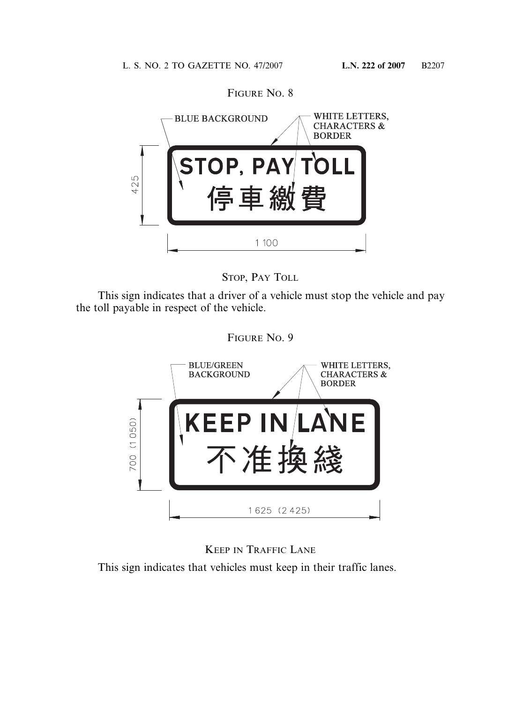

STOP, PAY TOLL

This sign indicates that a driver of a vehicle must stop the vehicle and pay the toll payable in respect of the vehicle.





KEEP IN TRAFFIC LANE

This sign indicates that vehicles must keep in their traffic lanes.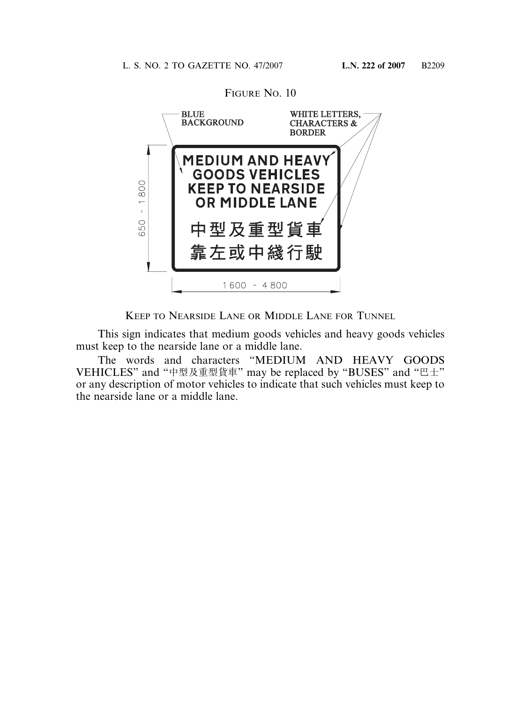

KEEP TO NEARSIDE LANE OR MIDDLE LANE FOR TUNNEL

This sign indicates that medium goods vehicles and heavy goods vehicles must keep to the nearside lane or a middle lane.

The words and characters "MEDIUM AND HEAVY GOODS VEHICLES" and "中型及重型貨車" may be replaced by "BUSES" and "巴士" or any description of motor vehicles to indicate that such vehicles must keep to the nearside lane or a middle lane.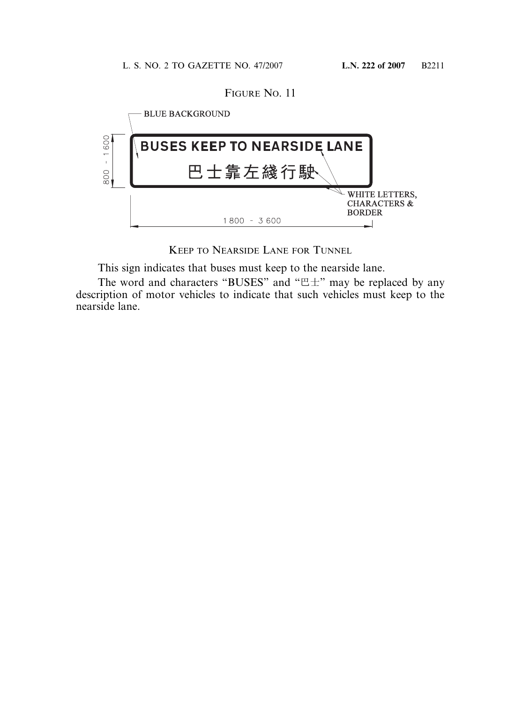FIGURE NO. 11



KEEP TO NEARSIDE LANE FOR TUNNEL

This sign indicates that buses must keep to the nearside lane.

The word and characters "BUSES" and "巴士" may be replaced by any description of motor vehicles to indicate that such vehicles must keep to the nearside lane.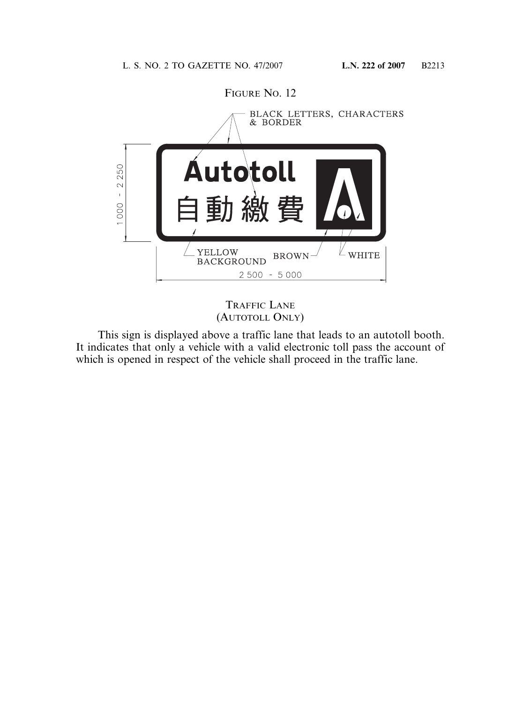

TRAFFIC LANE (AUTOTOLL ONLY)

This sign is displayed above a traffic lane that leads to an autotoll booth. It indicates that only a vehicle with a valid electronic toll pass the account of which is opened in respect of the vehicle shall proceed in the traffic lane.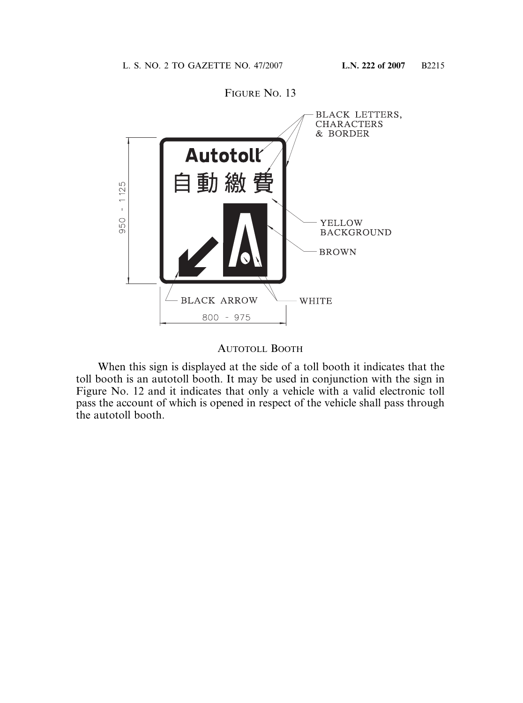

#### AUTOTOLL BOOTH

When this sign is displayed at the side of a toll booth it indicates that the toll booth is an autotoll booth. It may be used in conjunction with the sign in Figure No. 12 and it indicates that only a vehicle with a valid electronic toll pass the account of which is opened in respect of the vehicle shall pass through the autotoll booth.

# FIGURE NO. 13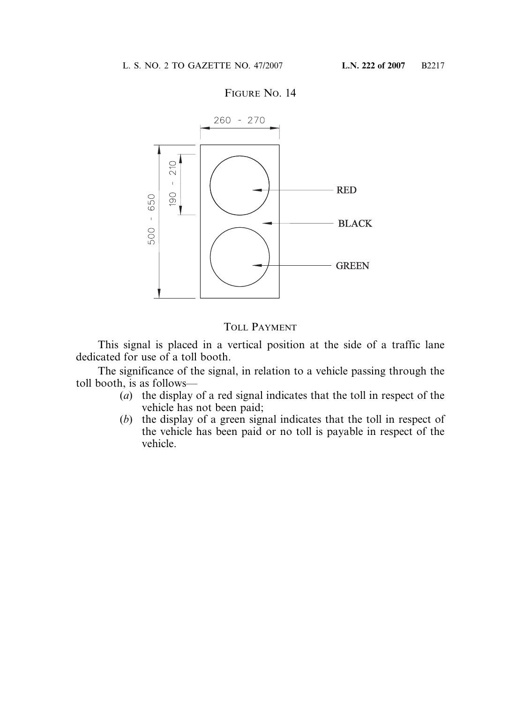

#### FIGURE NO. 14

# TOLL PAYMENT

This signal is placed in a vertical position at the side of a traffic lane dedicated for use of a toll booth.

The significance of the signal, in relation to a vehicle passing through the toll booth, is as follows—

- (*a*) the display of a red signal indicates that the toll in respect of the vehicle has not been paid;
- (*b*) the display of a green signal indicates that the toll in respect of the vehicle has been paid or no toll is payable in respect of the vehicle.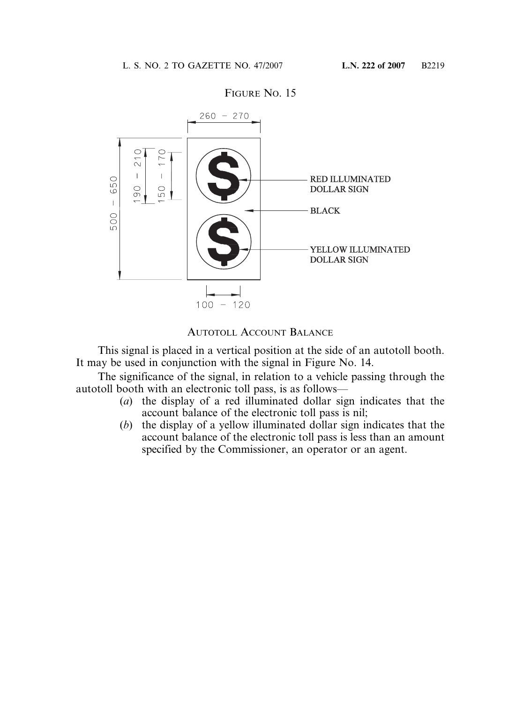

#### FIGURE NO. 15

#### AUTOTOLL ACCOUNT BALANCE

This signal is placed in a vertical position at the side of an autotoll booth. It may be used in conjunction with the signal in Figure No. 14.

The significance of the signal, in relation to a vehicle passing through the autotoll booth with an electronic toll pass, is as follows—

- (*a*) the display of a red illuminated dollar sign indicates that the account balance of the electronic toll pass is nil;
- (*b*) the display of a yellow illuminated dollar sign indicates that the account balance of the electronic toll pass is less than an amount specified by the Commissioner, an operator or an agent.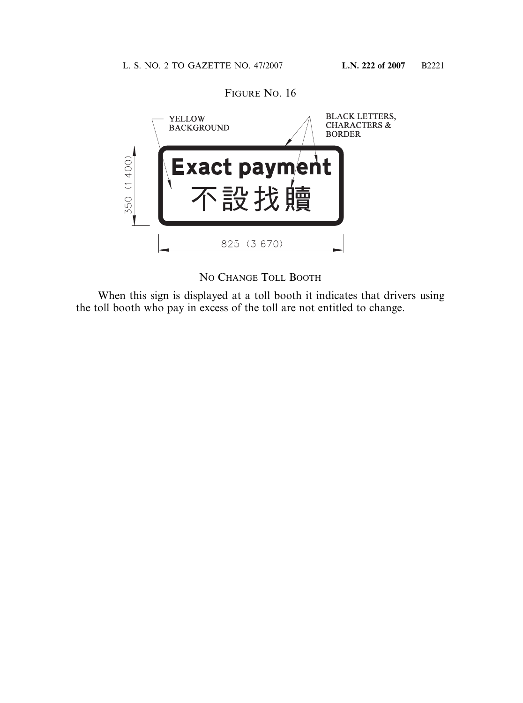

NO CHANGE TOLL BOOTH

When this sign is displayed at a toll booth it indicates that drivers using the toll booth who pay in excess of the toll are not entitled to change.

FIGURE NO. 16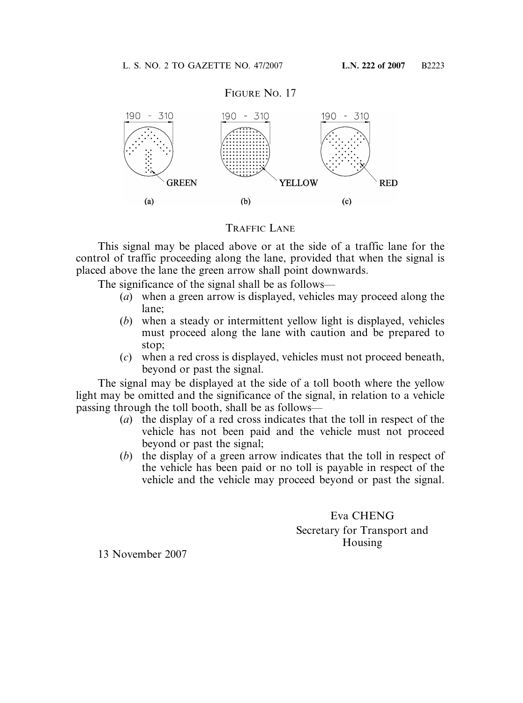

#### TRAFFIC LANE

This signal may be placed above or at the side of a traffic lane for the control of traffic proceeding along the lane, provided that when the signal is placed above the lane the green arrow shall point downwards.

The significance of the signal shall be as follows—

- (*a*) when a green arrow is displayed, vehicles may proceed along the lane;
- (*b*) when a steady or intermittent yellow light is displayed, vehicles must proceed along the lane with caution and be prepared to stop;
- (*c*) when a red cross is displayed, vehicles must not proceed beneath, beyond or past the signal.

The signal may be displayed at the side of a toll booth where the yellow light may be omitted and the significance of the signal, in relation to a vehicle passing through the toll booth, shall be as follows—

- (*a*) the display of a red cross indicates that the toll in respect of the vehicle has not been paid and the vehicle must not proceed beyond or past the signal;
- (*b*) the display of a green arrow indicates that the toll in respect of the vehicle has been paid or no toll is payable in respect of the vehicle and the vehicle may proceed beyond or past the signal.

Eva CHENG Secretary for Transport and Housing

13 November 2007